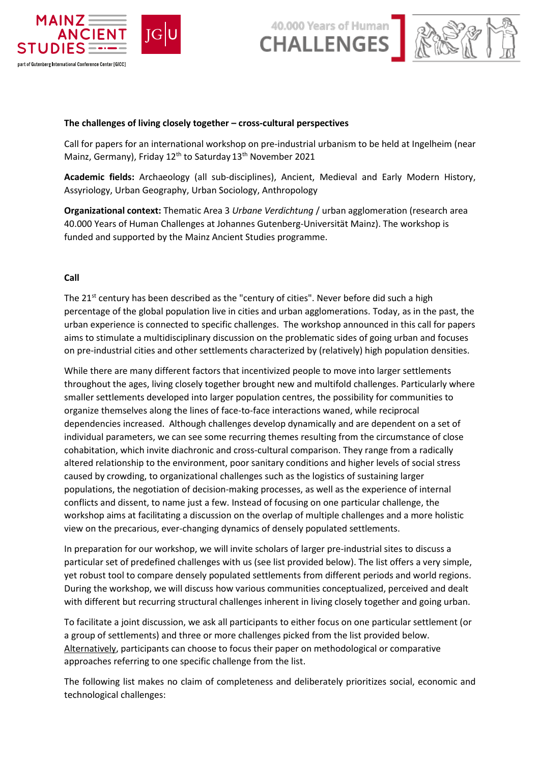

40.000 Years of Human



### **The challenges of living closely together – cross-cultural perspectives**

Call for papers for an international workshop on pre-industrial urbanism to be held at Ingelheim (near Mainz, Germany), Friday 12<sup>th</sup> to Saturday 13<sup>th</sup> November 2021

**Academic fields:** Archaeology (all sub-disciplines), Ancient, Medieval and Early Modern History, Assyriology, Urban Geography, Urban Sociology, Anthropology

**Organizational context:** Thematic Area 3 *Urbane Verdichtung* / urban agglomeration (research area 40.000 Years of Human Challenges at Johannes Gutenberg-Universität Mainz). The workshop is funded and supported by the Mainz Ancient Studies programme.

## **Call**

The 21<sup>st</sup> century has been described as the "century of cities". Never before did such a high percentage of the global population live in cities and urban agglomerations. Today, as in the past, the urban experience is connected to specific challenges. The workshop announced in this call for papers aims to stimulate a multidisciplinary discussion on the problematic sides of going urban and focuses on pre-industrial cities and other settlements characterized by (relatively) high population densities.

While there are many different factors that incentivized people to move into larger settlements throughout the ages, living closely together brought new and multifold challenges. Particularly where smaller settlements developed into larger population centres, the possibility for communities to organize themselves along the lines of face-to-face interactions waned, while reciprocal dependencies increased. Although challenges develop dynamically and are dependent on a set of individual parameters, we can see some recurring themes resulting from the circumstance of close cohabitation, which invite diachronic and cross-cultural comparison. They range from a radically altered relationship to the environment, poor sanitary conditions and higher levels of social stress caused by crowding, to organizational challenges such as the logistics of sustaining larger populations, the negotiation of decision-making processes, as well as the experience of internal conflicts and dissent, to name just a few. Instead of focusing on one particular challenge, the workshop aims at facilitating a discussion on the overlap of multiple challenges and a more holistic view on the precarious, ever-changing dynamics of densely populated settlements.

In preparation for our workshop, we will invite scholars of larger pre-industrial sites to discuss a particular set of predefined challenges with us (see list provided below). The list offers a very simple, yet robust tool to compare densely populated settlements from different periods and world regions. During the workshop, we will discuss how various communities conceptualized, perceived and dealt with different but recurring structural challenges inherent in living closely together and going urban.

To facilitate a joint discussion, we ask all participants to either focus on one particular settlement (or a group of settlements) and three or more challenges picked from the list provided below. Alternatively, participants can choose to focus their paper on methodological or comparative approaches referring to one specific challenge from the list.

The following list makes no claim of completeness and deliberately prioritizes social, economic and technological challenges: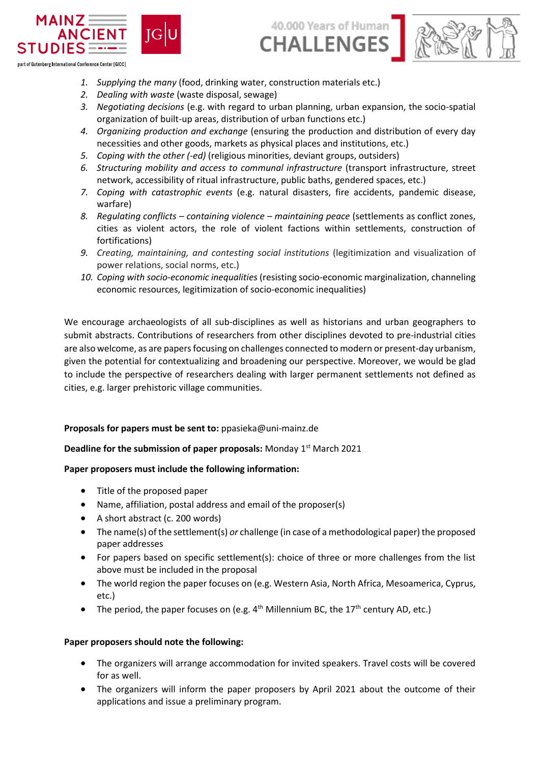

- part of Gutenberg International Conference Center [GICC]
	- *1. Supplying the many* (food, drinking water, construction materials etc.)
	- *2. Dealing with waste* (waste disposal, sewage)
	- *3. Negotiating decisions* (e.g. with regard to urban planning, urban expansion, the socio-spatial organization of built-up areas, distribution of urban functions etc.)

40.000 Years of Human

**CHALLENGES** 

- *4. Organizing production and exchange* (ensuring the production and distribution of every day necessities and other goods, markets as physical places and institutions, etc.)
- *5. Coping with the other (-ed)* (religious minorities, deviant groups, outsiders)
- *6. Structuring mobility and access to communal infrastructure* (transport infrastructure, street network, accessibility of ritual infrastructure, public baths, gendered spaces, etc.)
- *7. Coping with catastrophic events* (e.g. natural disasters, fire accidents, pandemic disease, warfare)
- *8. Regulating conflicts – containing violence – maintaining peace* (settlements as conflict zones, cities as violent actors, the role of violent factions within settlements, construction of fortifications)
- *9. Creating, maintaining, and contesting social institutions* (legitimization and visualization of power relations, social norms, etc.)
- *10. Coping with socio-economic inequalities* (resisting socio-economic marginalization, channeling economic resources, legitimization of socio-economic inequalities)

We encourage archaeologists of all sub-disciplines as well as historians and urban geographers to submit abstracts. Contributions of researchers from other disciplines devoted to pre-industrial cities are also welcome, as are papers focusing on challenges connected to modern or present-day urbanism, given the potential for contextualizing and broadening our perspective. Moreover, we would be glad to include the perspective of researchers dealing with larger permanent settlements not defined as cities, e.g. larger prehistoric village communities.

## **Proposals for papers must be sent to:** ppasieka@uni-mainz.de

# Deadline for the submission of paper proposals: Monday 1<sup>st</sup> March 2021

## **Paper proposers must include the following information:**

- Title of the proposed paper
- Name, affiliation, postal address and email of the proposer(s)
- A short abstract (c. 200 words)
- The name(s) of the settlement(s) *or* challenge (in case of a methodological paper) the proposed paper addresses
- For papers based on specific settlement(s): choice of three or more challenges from the list above must be included in the proposal
- The world region the paper focuses on (e.g. Western Asia, North Africa, Mesoamerica, Cyprus, etc.)
- The period, the paper focuses on (e.g.  $4<sup>th</sup>$  Millennium BC, the 17<sup>th</sup> century AD, etc.)

## **Paper proposers should note the following:**

- The organizers will arrange accommodation for invited speakers. Travel costs will be covered for as well.
- The organizers will inform the paper proposers by April 2021 about the outcome of their applications and issue a preliminary program.